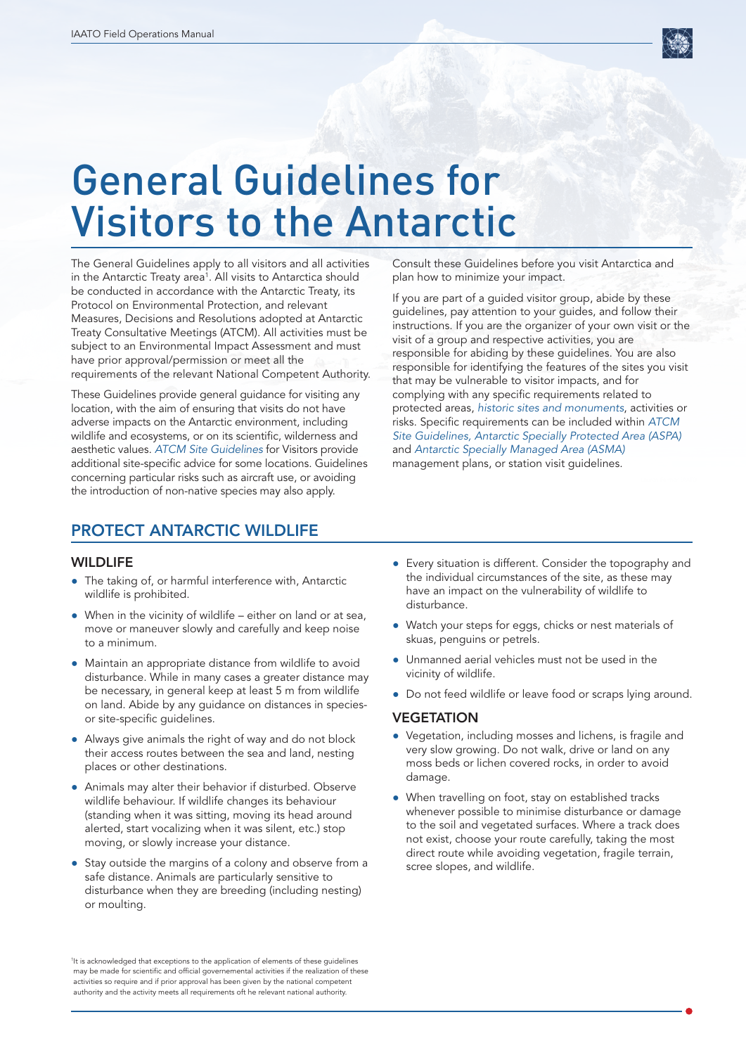

# General Guidelines for Visitors to the Antarctic

The General Guidelines apply to all visitors and all activities in the Antarctic Treaty area<sup>1</sup>. All visits to Antarctica should be conducted in accordance with the Antarctic Treaty, its Protocol on Environmental Protection, and relevant Measures, Decisions and Resolutions adopted at Antarctic Treaty Consultative Meetings (ATCM). All activities must be subject to an Environmental Impact Assessment and must have prior approval/permission or meet all the requirements of the relevant National Competent Authority.

These Guidelines provide general guidance for visiting any location, with the aim of ensuring that visits do not have adverse impacts on the Antarctic environment, including wildlife and ecosystems, or on its scientific, wilderness and aesthetic values. *[ATCM Site Guidelines](https://www.ats.aq/devAS/Ats/VisitorSiteGuidelines?lang=e.)* for Visitors provide additional site-specific advice for some locations. Guidelines concerning particular risks such as aircraft use, or avoiding the introduction of non-native species may also apply.

Consult these Guidelines before you visit Antarctica and plan how to minimize your impact.

If you are part of a guided visitor group, abide by these guidelines, pay attention to your guides, and follow their instructions. If you are the organizer of your own visit or the visit of a group and respective activities, you are responsible for abiding by these guidelines. You are also responsible for identifying the features of the sites you visit that may be vulnerable to visitor impacts, and for complying with any specific requirements related to protected areas, *[historic sites and monuments](https://www.ats.aq/devph/en/apa-database/search#apa-results)*, activities or risks. Specific requirements can be included within *[ATCM](https://www.ats.aq/devAS/Ats/VisitorSiteGuidelines?lang=e.)  [Site Guidelines, Antarctic Specially Protected Area \(ASPA\)](https://www.ats.aq/devAS/Ats/VisitorSiteGuidelines?lang=e.)* and *[Antarctic Specially Managed Area \(ASMA\)](https://www.ats.aq/devph/en/apa-database/search#apa-results)* management plans, or station visit guidelines.

# PROTECT ANTARCTIC WILDLIFE

#### **WILDLIFE**

- The taking of, or harmful interference with, Antarctic wildlife is prohibited.
- $\bullet$  When in the vicinity of wildlife either on land or at sea, move or maneuver slowly and carefully and keep noise to a minimum.
- Maintain an appropriate distance from wildlife to avoid disturbance. While in many cases a greater distance may be necessary, in general keep at least 5 m from wildlife on land. Abide by any guidance on distances in speciesor site-specific guidelines.
- Always give animals the right of way and do not block their access routes between the sea and land, nesting places or other destinations.
- Animals may alter their behavior if disturbed. Observe wildlife behaviour. If wildlife changes its behaviour (standing when it was sitting, moving its head around alerted, start vocalizing when it was silent, etc.) stop moving, or slowly increase your distance.
- Stay outside the margins of a colony and observe from a safe distance. Animals are particularly sensitive to disturbance when they are breeding (including nesting) or moulting.
- Every situation is different. Consider the topography and the individual circumstances of the site, as these may have an impact on the vulnerability of wildlife to disturbance.
- ● Watch your steps for eggs, chicks or nest materials of skuas, penguins or petrels.
- Unmanned aerial vehicles must not be used in the vicinity of wildlife.
- Do not feed wildlife or leave food or scraps lying around.

#### **VEGETATION**

- Vegetation, including mosses and lichens, is fragile and very slow growing. Do not walk, drive or land on any moss beds or lichen covered rocks, in order to avoid damage.
- When travelling on foot, stay on established tracks whenever possible to minimise disturbance or damage to the soil and vegetated surfaces. Where a track does not exist, choose your route carefully, taking the most direct route while avoiding vegetation, fragile terrain, scree slopes, and wildlife.

<sup>1</sup> It is acknowledged that exceptions to the application of elements of these guidelines may be made for scientific and official governemental activities if the realization of these activities so require and if prior approval has been given by the national competent authority and the activity meets all requirements oft he relevant national authority.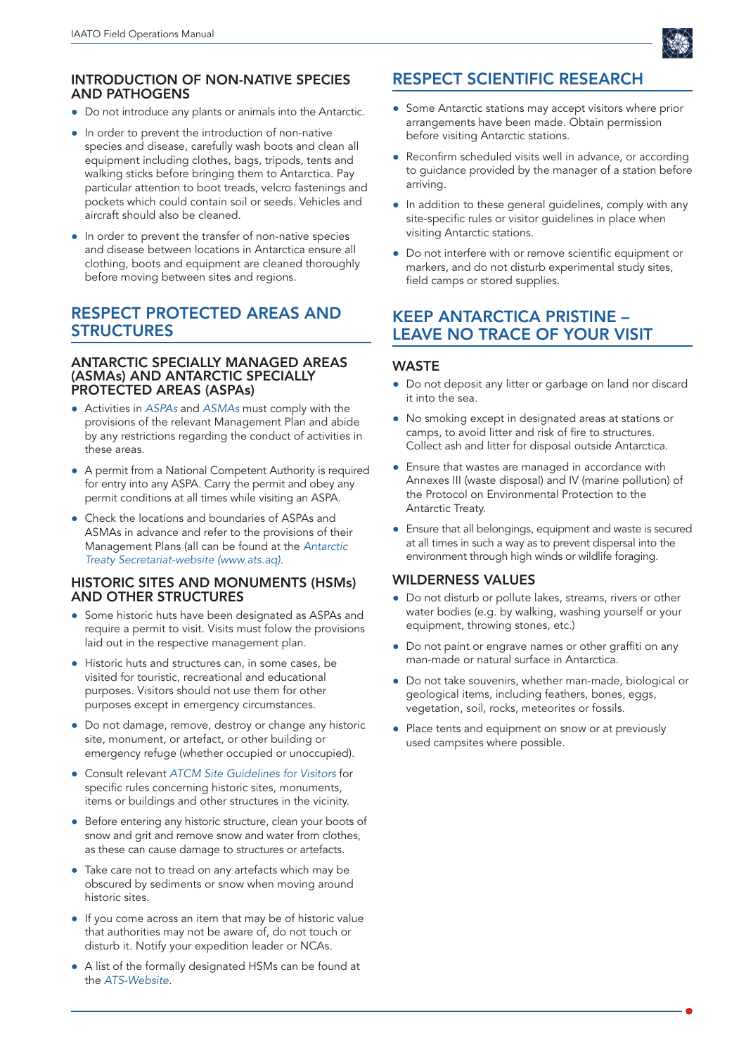## INTRODUCTION OF NON-NATIVE SPECIES AND PATHOGENS

- Do not introduce any plants or animals into the Antarctic.
- In order to prevent the introduction of non-native species and disease, carefully wash boots and clean all equipment including clothes, bags, tripods, tents and walking sticks before bringing them to Antarctica. Pay particular attention to boot treads, velcro fastenings and pockets which could contain soil or seeds. Vehicles and aircraft should also be cleaned.
- In order to prevent the transfer of non-native species and disease between locations in Antarctica ensure all clothing, boots and equipment are cleaned thoroughly before moving between sites and regions.

## RESPECT PROTECTED AREAS AND **STRUCTURES**

#### ANTARCTIC SPECIALLY MANAGED AREAS (ASMAs) AND ANTARCTIC SPECIALLY PROTECTED AREAS (ASPAs)

- ● Activities in *[ASPAs](https://www.ats.aq/devph/en/apa-database/search#apa-results)* and *[ASMAs](https://www.ats.aq/devph/en/apa-database/search#apa-results)* must comply with the provisions of the relevant Management Plan and abide by any restrictions regarding the conduct of activities in these areas.
- A permit from a National Competent Authority is required for entry into any ASPA. Carry the permit and obey any permit conditions at all times while visiting an ASPA.
- Check the locations and boundaries of ASPAs and ASMAs in advance and refer to the provisions of their Management Plans (all can be found at the *[Antarctic](https://www.ats.aq/devAS/Ats/VisitorSiteGuidelines?lang=e.)  [Treaty Secretariat-website \(www.ats.aq\)](https://www.ats.aq/devAS/Ats/VisitorSiteGuidelines?lang=e.)*.

#### HISTORIC SITES AND MONUMENTS (HSMs) AND OTHER STRUCTURES

- Some historic huts have been designated as ASPAs and require a permit to visit. Visits must folow the provisions laid out in the respective management plan.
- ● Historic huts and structures can, in some cases, be visited for touristic, recreational and educational purposes. Visitors should not use them for other purposes except in emergency circumstances.
- Do not damage, remove, destroy or change any historic site, monument, or artefact, or other building or emergency refuge (whether occupied or unoccupied).
- ● Consult relevant *[ATCM Site Guidelines for Visitors](https://www.ats.aq/devAS/Ats/VisitorSiteGuidelines?lang=e.)* for specific rules concerning historic sites, monuments, items or buildings and other structures in the vicinity.
- Before entering any historic structure, clean your boots of snow and grit and remove snow and water from clothes, as these can cause damage to structures or artefacts.
- Take care not to tread on any artefacts which may be obscured by sediments or snow when moving around historic sites.
- ● If you come across an item that may be of historic value that authorities may not be aware of, do not touch or disturb it. Notify your expedition leader or NCAs.
- A list of the formally designated HSMs can be found at the *[ATS-Website](https://www.ats.aq/devph/en/apa-database/search#apa-results)*.

# RESPECT SCIENTIFIC RESEARCH

- Some Antarctic stations may accept visitors where prior arrangements have been made. Obtain permission before visiting Antarctic stations.
- Reconfirm scheduled visits well in advance, or according to guidance provided by the manager of a station before arriving.
- In addition to these general quidelines, comply with any site-specific rules or visitor guidelines in place when visiting Antarctic stations.
- Do not interfere with or remove scientific equipment or markers, and do not disturb experimental study sites, field camps or stored supplies.

## KEEP ANTARCTICA PRISTINE – LEAVE NO TRACE OF YOUR VISIT

## **WASTE**

- Do not deposit any litter or garbage on land nor discard it into the sea.
- ● No smoking except in designated areas at stations or camps, to avoid litter and risk of fire to structures. Collect ash and litter for disposal outside Antarctica.
- Ensure that wastes are managed in accordance with Annexes III (waste disposal) and IV (marine pollution) of the Protocol on Environmental Protection to the Antarctic Treaty.
- **•** Ensure that all belongings, equipment and waste is secured at all times in such a way as to prevent dispersal into the environment through high winds or wildlife foraging.

## WILDERNESS VALUES

- Do not disturb or pollute lakes, streams, rivers or other water bodies (e.g. by walking, washing yourself or your equipment, throwing stones, etc.)
- Do not paint or engrave names or other graffiti on any man-made or natural surface in Antarctica.
- Do not take souvenirs, whether man-made, biological or geological items, including feathers, bones, eggs, vegetation, soil, rocks, meteorites or fossils.
- Place tents and equipment on snow or at previously used campsites where possible.